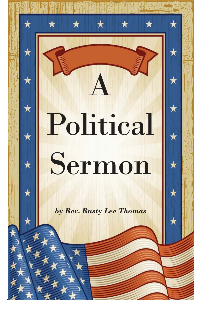# Political Sermon

A

*by Rev. Rusty Lee Thomas*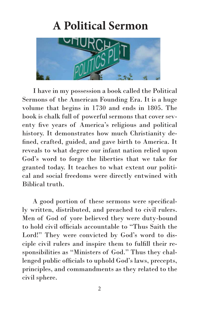## **A Political Sermon**



 I have in my possession a book called the Political Sermons of the American Founding Era. It is a huge volume that begins in 1730 and ends in 1805. The book is chalk full of powerful sermons that cover seventy five years of America's religious and political history. It demonstrates how much Christianity defined, crafted, guided, and gave birth to America. It reveals to what degree our infant nation relied upon God's word to forge the liberties that we take for granted today. It teaches to what extent our political and social freedoms were directly entwined with Biblical truth.

 A good portion of these sermons were specifically written, distributed, and preached to civil rulers. Men of God of yore believed they were duty-bound to hold civil officials accountable to "Thus Saith the Lord!" They were convicted by God's word to disciple civil rulers and inspire them to fulfill their responsibilities as "Ministers of God." Thus they challenged public officials to uphold God's laws, precepts, principles, and commandments as they related to the civil sphere.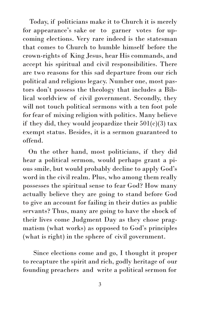Today, if politicians make it to Church it is merely for appearance's sake or to garner votes for upcoming elections. Very rare indeed is the statesman that comes to Church to humble himself before the crown-rights of King Jesus, hear His commands, and accept his spiritual and civil responsibilities. There are two reasons for this sad departure from our rich political and religious legacy. Number one, most pastors don't possess the theology that includes a Biblical worldview of civil government. Secondly, they will not touch political sermons with a ten foot pole for fear of mixing religion with politics. Many believe if they did, they would jeopardize their  $501(c)(3)$  tax exempt status. Besides, it is a sermon guaranteed to offend.

 On the other hand, most politicians, if they did hear a political sermon, would perhaps grant a pious smile, but would probably decline to apply God's word in the civil realm. Plus, who among them really possesses the spiritual sense to fear God? How many actually believe they are going to stand before God to give an account for failing in their duties as public servants? Thus, many are going to have the shock of their lives come Judgment Day as they chose pragmatism (what works) as opposed to God's principles (what is right) in the sphere of civil government.

 Since elections come and go, I thought it proper to recapture the spirit and rich, godly heritage of our founding preachers and write a political sermon for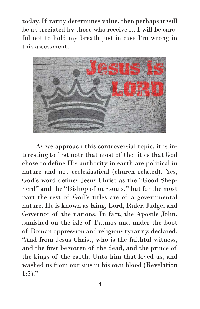today. If rarity determines value, then perhaps it will be appreciated by those who receive it. I will be careful not to hold my breath just in case I'm wrong in this assessment.



 As we approach this controversial topic, it is interesting to first note that most of the titles that God chose to define His authority in earth are political in nature and not ecclesiastical (church related). Yes, God's word defines Jesus Christ as the "Good Shepherd" and the "Bishop of our souls," but for the most part the rest of God's titles are of a governmental nature. He is known as King, Lord, Ruler, Judge, and Governor of the nations. In fact, the Apostle John, banished on the isle of Patmos and under the boot of Roman oppression and religious tyranny, declared, "And from Jesus Christ, who is the faithful witness, and the first begotten of the dead, and the prince of the kings of the earth. Unto him that loved us, and washed us from our sins in his own blood (Revelation  $1:5$ )."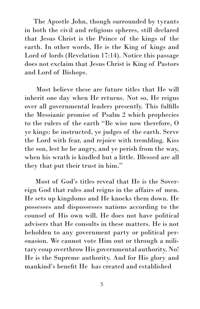The Apostle John, though surrounded by tyrants in both the civil and religious spheres, still declared that Jesus Christ is the Prince of the kings of the earth. In other words, He is the King of kings and Lord of lords (Revelation 17:14). Notice this passage does not exclaim that Jesus Christ is King of Pastors and Lord of Bishops.

 Most believe these are future titles that He will inherit one day when He returns. Not so, He reigns over all governmental leaders presently. This fulfills the Messianic promise of Psalm 2 which prophecies to the rulers of the earth "Be wise now therefore, O ye kings: be instructed, ye judges of the earth. Serve the Lord with fear, and rejoice with trembling. Kiss the son, lest he be angry, and ye perish from the way, when his wrath is kindled but a little. Blessed are all they that put their trust in him."

 Most of God's titles reveal that He is the Sovereign God that rules and reigns in the affairs of men. He sets up kingdoms and He knocks them down. He possesses and dispossesses nations according to the counsel of His own will. He does not have political advisers that He consults in these matters. He is not beholden to any government party or political persuasion. We cannot vote Him out or through a military coup overthrow His governmental authority. No! He is the Supreme authority. And for His glory and mankind's benefit He has created and established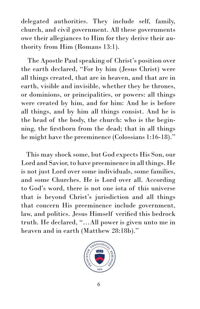delegated authorities. They include self, family, church, and civil government. All these governments owe their allegiances to Him for they derive their authority from Him (Romans 13:1).

 The Apostle Paul speaking of Christ's position over the earth declared, "For by him (Jesus Christ) were all things created, that are in heaven, and that are in earth, visible and invisible, whether they be thrones, or dominions, or principalities, or powers: all things were created by him, and for him: And he is before all things, and by him all things consist. And he is the head of the body, the church: who is the beginning, the firstborn from the dead; that in all things he might have the preeminence (Colossians 1:16-18)."

 This may shock some, but God expects His Son, our Lord and Savior, to have preeminence in all things. He is not just Lord over some individuals, some families, and some Churches. He is Lord over all. According to God's word, there is not one iota of this universe that is beyond Christ's jurisdiction and all things that concern His preeminence include government, law, and politics. Jesus Himself verified this bedrock truth. He declared, "…All power is given unto me in heaven and in earth (Matthew 28:18b)."

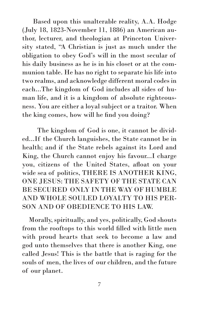Based upon this unalterable reality, A.A. Hodge (July 18, 1823-November 11, 1886) an American author, lecturer, and theologian at Princeton University stated, "A Christian is just as much under the obligation to obey God's will in the most secular of his daily business as he is in his closet or at the communion table. He has no right to separate his life into two realms, and acknowledge different moral codes in each...The kingdom of God includes all sides of human life, and it is a kingdom of absolute righteousness. You are either a loyal subject or a traitor. When the king comes, how will he find you doing?

ed...If the Church languishes, the State cannot be in The kingdom of God is one, it cannot be dividhealth; and if the State rebels against its Lord and King, the Church cannot enjoy his favour...I charge you, citizens of the United States, afloat on your wide sea of politics, THERE IS ANOTHER KING, ONE JESUS: THE SAFETY OF THE STATE CAN BE SECURED ONLY IN THE WAY OF HUMBLE AND WHOLE SOULED LOYALTY TO HIS PER-SON AND OF OBEDIENCE TO HIS LAW.

 Morally, spiritually, and yes, politically, God shouts from the rooftops to this world filled with little men with proud hearts that seek to become a law and god unto themselves that there is another King, one called Jesus! This is the battle that is raging for the souls of men, the lives of our children, and the future of our planet.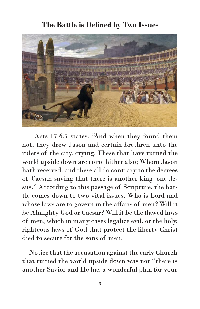#### **The Battle is Defined by Two Issues**



 Acts 17:6,7 states, "And when they found them not, they drew Jason and certain brethren unto the rulers of the city, crying, These that have turned the world upside down are come hither also; Whom Jason hath received: and these all do contrary to the decrees of Caesar, saying that there is another king, one Jesus." According to this passage of Scripture, the battle comes down to two vital issues. Who is Lord and whose laws are to govern in the affairs of men? Will it be Almighty God or Caesar? Will it be the flawed laws of men, which in many cases legalize evil, or the holy, righteous laws of God that protect the liberty Christ died to secure for the sons of men.

 Notice that the accusation against the early Church that turned the world upside down was not "there is another Savior and He has a wonderful plan for your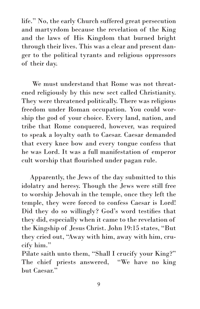life." No, the early Church suffered great persecution and martyrdom because the revelation of the King and the laws of His Kingdom that burned bright through their lives. This was a clear and present danger to the political tyrants and religious oppressors of their day.

 We must understand that Rome was not threatened religiously by this new sect called Christianity. They were threatened politically. There was religious freedom under Roman occupation. You could worship the god of your choice. Every land, nation, and tribe that Rome conquered, however, was required to speak a loyalty oath to Caesar. Caesar demanded that every knee bow and every tongue confess that he was Lord. It was a full manifestation of emperor cult worship that flourished under pagan rule.

 Apparently, the Jews of the day submitted to this idolatry and heresy. Though the Jews were still free to worship Jehovah in the temple, once they left the temple, they were forced to confess Caesar is Lord! Did they do so willingly? God's word testifies that they did, especially when it came to the revelation of the Kingship of Jesus Christ. John 19:15 states, "But they cried out, "Away with him, away with him, crucify him."

Pilate saith unto them, "Shall I crucify your King?" The chief priests answered, "We have no king but Caesar."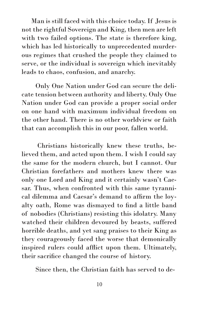Man is still faced with this choice today. If Jesus is not the rightful Sovereign and King, then men are left with two failed options. The state is therefore king, which has led historically to unprecedented murderous regimes that crushed the people they claimed to serve, or the individual is sovereign which inevitably leads to chaos, confusion, and anarchy.

 Only One Nation under God can secure the delicate tension between authority and liberty. Only One Nation under God can provide a proper social order on one hand with maximum individual freedom on the other hand. There is no other worldview or faith that can accomplish this in our poor, fallen world.

 Christians historically knew these truths, believed them, and acted upon them. I wish I could say the same for the modern church, but I cannot. Our Christian forefathers and mothers knew there was only one Lord and King and it certainly wasn't Caesar. Thus, when confronted with this same tyrannical dilemma and Caesar's demand to affirm the loyalty oath, Rome was dismayed to find a little band of nobodies (Christians) resisting this idolatry. Many watched their children devoured by beasts, suffered horrible deaths, and yet sang praises to their King as they courageously faced the worse that demonically inspired rulers could afflict upon them. Ultimately, their sacrifice changed the course of history.

Since then, the Christian faith has served to de-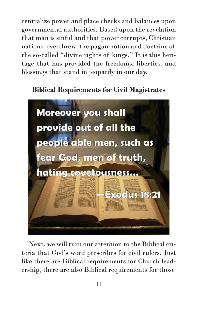centralize power and place checks and balances upon governmental authorities. Based upon the revelation that man is sinful and that power corrupts, Christian nations overthrew the pagan notion and doctrine of the so-called "divine rights of kings." It is this heritage that has provided the freedoms, liberties, and blessings that stand in jeopardy in our day.

#### **Biblical Requirements for Civil Magistrates**



 Next, we will turn our attention to the Biblical criteria that God's word prescribes for civil rulers. Just like there are Biblical requirements for Church leadership, there are also Biblical requirements for those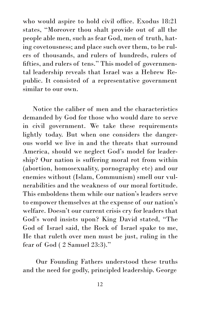who would aspire to hold civil office. Exodus 18:21 states, "Moreover thou shalt provide out of all the people able men, such as fear God, men of truth, hating covetousness; and place such over them, to be rulers of thousands, and rulers of hundreds, rulers of fifties, and rulers of tens." This model of governmental leadership reveals that Israel was a Hebrew Republic. It consisted of a representative government similar to our own.

 Notice the caliber of men and the characteristics demanded by God for those who would dare to serve in civil government. We take these requirements lightly today. But when one considers the dangerous world we live in and the threats that surround America, should we neglect God's model for leadership? Our nation is suffering moral rot from within (abortion, homosexuality, pornography etc) and our enemies without (Islam, Communism) smell our vulnerabilities and the weakness of our moral fortitude. This emboldens them while our nation's leaders serve to empower themselves at the expense of our nation's welfare. Doesn't our current crisis cry for leaders that God's word insists upon? King David stated, "The God of Israel said, the Rock of Israel spake to me, He that ruleth over men must be just, ruling in the fear of God ( 2 Samuel 23:3)."

 Our Founding Fathers understood these truths and the need for godly, principled leadership. George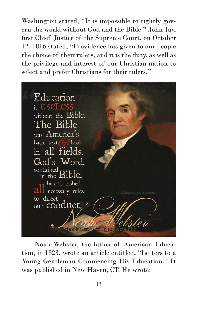Washington stated, "It is impossible to rightly govern the world without God and the Bible." John Jay, first Chief Justice of the Supreme Court, on October 12, 1816 stated, "Providence has given to our people the choice of their rulers, and it is the duty, as well as the privilege and interest of our Christian nation to select and prefer Christians for their rulers."



 Noah Webster, the father of American Education, in 1823, wrote an article entitled, "Letters to a Young Gentleman Commencing His Education." It was published in New Haven, CT. He wrote: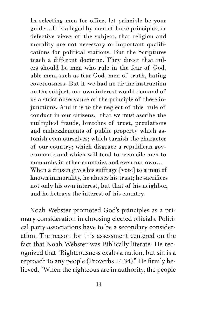When a citizen gives his suffrage [vote] to a man of known immorality, he abuses his trust; he sacrifices not only his own interest, but that of his neighbor, and he betrays the interest of his country. In selecting men for office, let principle be your guide....It is alleged by men of loose principles, or defective views of the subject, that religion and morality are not necessary or important qualifications for political stations. But the Scriptures teach a different doctrine. They direct that rulers should be men who rule in the fear of God, able men, such as fear God, men of truth, hating covetousness. But if we had no divine instruction on the subject, our own interest would demand of us a strict observance of the principle of these injunctions. And it is to the neglect of this rule of conduct in our citizens, that we must ascribe the multiplied frauds, breeches of trust, peculations and embezzlements of public property which astonish even ourselves; which tarnish the character of our country; which disgrace a republican government; and which will tend to reconcile men to monarchs in other countries and even our own…

 Noah Webster promoted God's principles as a primary consideration in choosing elected officials. Political party associations have to be a secondary consideration. The reason for this assessment centered on the fact that Noah Webster was Biblically literate. He recognized that "Righteousness exalts a nation, but sin is a reproach to any people (Proverbs 14:34)." He firmly believed, "When the righteous are in authority, the people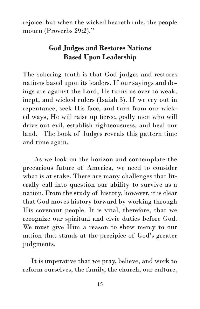rejoice: but when the wicked beareth rule, the people mourn (Proverbs 29:2)."

### **God Judges and Restores Nations Based Upon Leadership**

The sobering truth is that God judges and restores nations based upon its leaders. If our sayings and doings are against the Lord, He turns us over to weak, inept, and wicked rulers (Isaiah 3). If we cry out in repentance, seek His face, and turn from our wicked ways, He will raise up fierce, godly men who will drive out evil, establish righteousness, and heal our land. The book of Judges reveals this pattern time and time again.

 As we look on the horizon and contemplate the precarious future of America, we need to consider what is at stake. There are many challenges that literally call into question our ability to survive as a nation. From the study of history, however, it is clear that God moves history forward by working through His covenant people. It is vital, therefore, that we recognize our spiritual and civic duties before God. We must give Him a reason to show mercy to our nation that stands at the precipice of God's greater judgments.

 It is imperative that we pray, believe, and work to reform ourselves, the family, the church, our culture,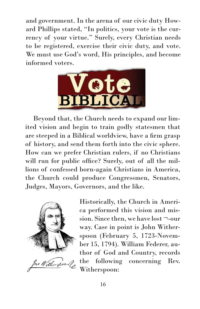and government. In the arena of our civic duty Howard Phillips stated, "In politics, your vote is the currency of your virtue." Surely, every Christian needs to be registered, exercise their civic duty, and vote. We must use God's word, His principles, and become informed voters.



 Beyond that, the Church needs to expand our limited vision and begin to train godly statesmen that are steeped in a Biblical worldview, have a firm grasp of history, and send them forth into the civic sphere. How can we prefer Christian rulers, if no Christians will run for public office? Surely, out of all the millions of confessed born-again Christians in America, the Church could produce Congressmen, Senators, Judges, Mayors, Governors, and the like.



Historically, the Church in America performed this vision and mission. Since then, we have lost ¬-our way. Case in point is John Witherspoon (February 5, 1723-November 15, 1794). William Federer, author of God and Country, records the following concerning Rev. Witherspoon: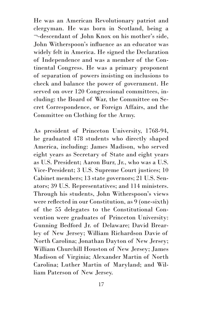He was an American Revolutionary patriot and clergyman. He was born in Scotland, being a ¬-descendant of John Knox on his mother's side, John Witherspoon's influence as an educator was widely felt in America. He signed the Declaration of Independence and was a member of the Continental Congress. He was a primary proponent of separation of powers insisting on inclusions to check and balance the power of government. He served on over 120 Congressional committees, including: the Board of War, the Committee on Secret Correspondence, or Foreign Affairs, and the Committee on Clothing for the Army.

As president of Princeton University, 1768-94, he graduated 478 students who directly shaped America, including: James Madison, who served eight years as Secretary of State and eight years as U.S. President; Aaron Burr, Jr., who was a U.S. Vice-President; 3 U.S. Supreme Court justices; 10 Cabinet members; 13 state governors; 21 U.S. Senators; 39 U.S. Representatives; and 114 ministers. Through his students, John Witherspoon's views were reflected in our Constitution, as 9 (one-sixth) of the 55 delegates to the Constitutional Convention were graduates of Princeton University: Gunning Bedford Jr. of Delaware; David Brearley of New Jersey; William Richardson Davie of North Carolina; Jonathan Dayton of New Jersey; William Churchill Houston of New Jersey; James Madison of Virginia; Alexander Martin of North Carolina; Luther Martin of Maryland; and William Paterson of New Jersey.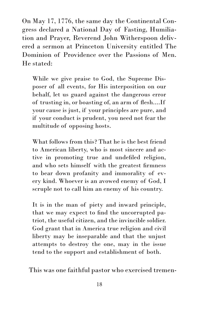On May 17, 1776, the same day the Continental Congress declared a National Day of Fasting, Humiliation and Prayer, Reverend John Witherspoon delivered a sermon at Princeton University entitled The Dominion of Providence over the Passions of Men. He stated:

While we give praise to God, the Supreme Disposer of all events, for His interposition on our behalf, let us guard against the dangerous error of trusting in, or boasting of, an arm of flesh....If your cause is just, if your principles are pure, and if your conduct is prudent, you need not fear the multitude of opposing hosts.

What follows from this? That he is the best friend to American liberty, who is most sincere and active in promoting true and undefiled religion, and who sets himself with the greatest firmness to bear down profanity and immorality of every kind. Whoever is an avowed enemy of God, I scruple not to call him an enemy of his country.

It is in the man of piety and inward principle, that we may expect to find the uncorrupted patriot, the useful citizen, and the invincible soldier. God grant that in America true religion and civil liberty may be inseparable and that the unjust attempts to destroy the one, may in the issue tend to the support and establishment of both.

This was one faithful pastor who exercised tremen-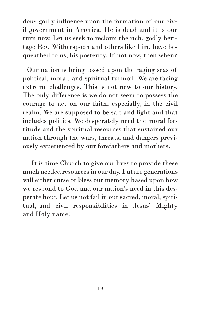dous godly influence upon the formation of our civil government in America. He is dead and it is our turn now. Let us seek to reclaim the rich, godly heritage Rev. Witherspoon and others like him, have bequeathed to us, his posterity. If not now, then when?

 Our nation is being tossed upon the raging seas of political, moral, and spiritual turmoil. We are facing extreme challenges. This is not new to our history. The only difference is we do not seem to possess the courage to act on our faith, especially, in the civil realm. We are supposed to be salt and light and that includes politics. We desperately need the moral fortitude and the spiritual resources that sustained our nation through the wars, threats, and dangers previously experienced by our forefathers and mothers.

 It is time Church to give our lives to provide these much needed resources in our day. Future generations will either curse or bless our memory based upon how we respond to God and our nation's need in this desperate hour. Let us not fail in our sacred, moral, spiritual, and civil responsibilities in Jesus' Mighty and Holy name!